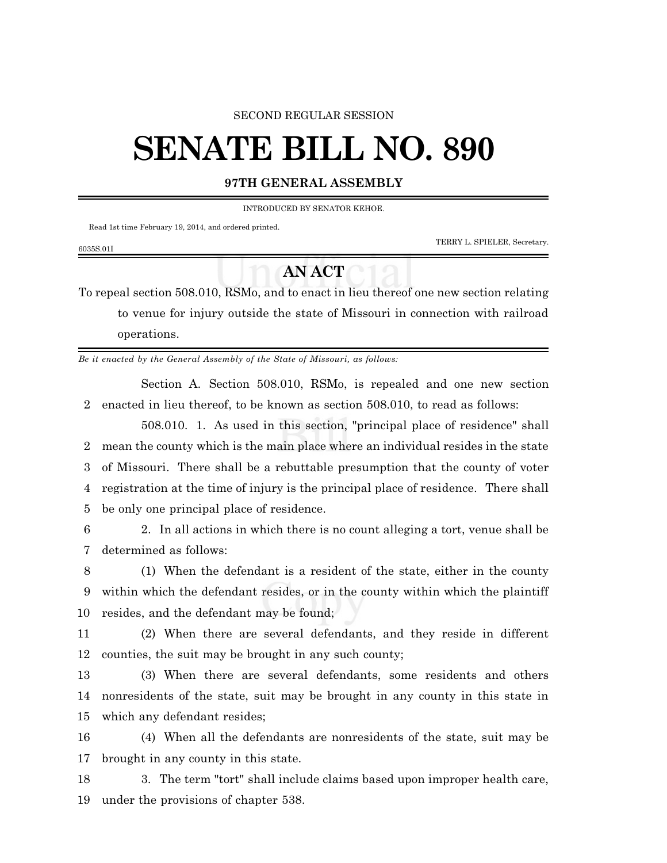## SECOND REGULAR SESSION

## **SENATE BILL NO. 890**

## **97TH GENERAL ASSEMBLY**

INTRODUCED BY SENATOR KEHOE.

Read 1st time February 19, 2014, and ordered printed.

TERRY L. SPIELER, Secretary.

## **AN ACT**

To repeal section 508.010, RSMo, and to enact in lieu thereof one new section relating to venue for injury outside the state of Missouri in connection with railroad operations.

*Be it enacted by the General Assembly of the State of Missouri, as follows:*

Section A. Section 508.010, RSMo, is repealed and one new section 2 enacted in lieu thereof, to be known as section 508.010, to read as follows:

508.010. 1. As used in this section, "principal place of residence" shall mean the county which is the main place where an individual resides in the state of Missouri. There shall be a rebuttable presumption that the county of voter registration at the time of injury is the principal place of residence. There shall be only one principal place of residence.

6 2. In all actions in which there is no count alleging a tort, venue shall be 7 determined as follows:

8 (1) When the defendant is a resident of the state, either in the county 9 within which the defendant resides, or in the county within which the plaintiff 10 resides, and the defendant may be found;

11 (2) When there are several defendants, and they reside in different 12 counties, the suit may be brought in any such county;

13 (3) When there are several defendants, some residents and others 14 nonresidents of the state, suit may be brought in any county in this state in 15 which any defendant resides;

16 (4) When all the defendants are nonresidents of the state, suit may be 17 brought in any county in this state.

18 3. The term "tort" shall include claims based upon improper health care, 19 under the provisions of chapter 538.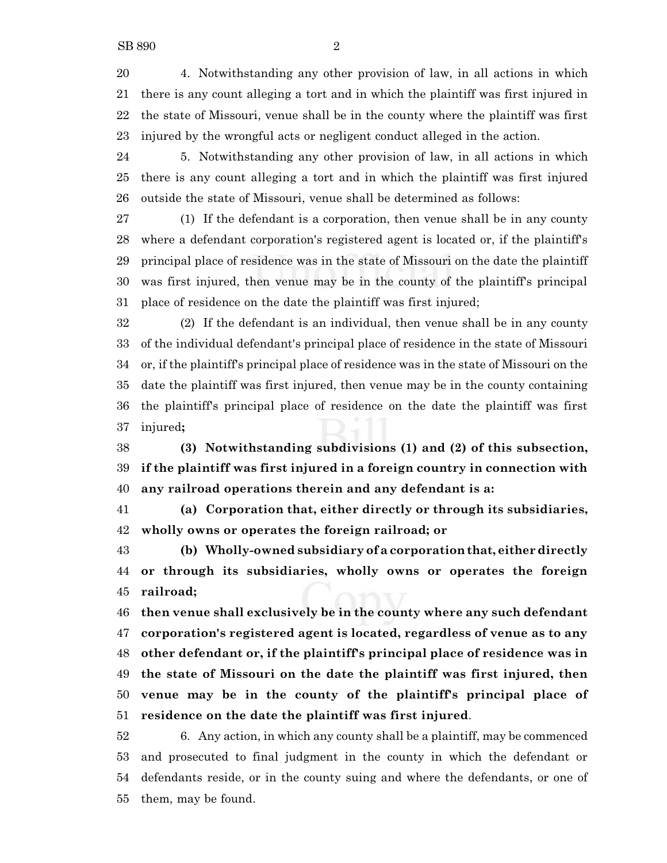4. Notwithstanding any other provision of law, in all actions in which there is any count alleging a tort and in which the plaintiff was first injured in the state of Missouri, venue shall be in the county where the plaintiff was first injured by the wrongful acts or negligent conduct alleged in the action.

 5. Notwithstanding any other provision of law, in all actions in which there is any count alleging a tort and in which the plaintiff was first injured outside the state of Missouri, venue shall be determined as follows:

 (1) If the defendant is a corporation, then venue shall be in any county where a defendant corporation's registered agent is located or, if the plaintiff's principal place of residence was in the state of Missouri on the date the plaintiff was first injured, then venue may be in the county of the plaintiff's principal place of residence on the date the plaintiff was first injured;

 (2) If the defendant is an individual, then venue shall be in any county of the individual defendant's principal place of residence in the state of Missouri or, if the plaintiff's principal place of residence was in the state of Missouri on the date the plaintiff was first injured, then venue may be in the county containing the plaintiff's principal place of residence on the date the plaintiff was first injured**;**

 **(3) Notwithstanding subdivisions (1) and (2) of this subsection, if the plaintiff was first injured in a foreign country in connection with any railroad operations therein and any defendant is a:**

 **(a) Corporation that, either directly or through its subsidiaries, wholly owns or operates the foreign railroad; or**

 **(b) Wholly-owned subsidiary of a corporationthat, either directly or through its subsidiaries, wholly owns or operates the foreign railroad;**

 **then venue shall exclusively be in the county where any such defendant corporation's registered agent is located, regardless of venue as to any other defendant or, if the plaintiff's principal place of residence was in the state of Missouri on the date the plaintiff was first injured, then venue may be in the county of the plaintiff's principal place of residence on the date the plaintiff was first injured**.

 6. Any action, in which any county shall be a plaintiff, may be commenced and prosecuted to final judgment in the county in which the defendant or defendants reside, or in the county suing and where the defendants, or one of them, may be found.